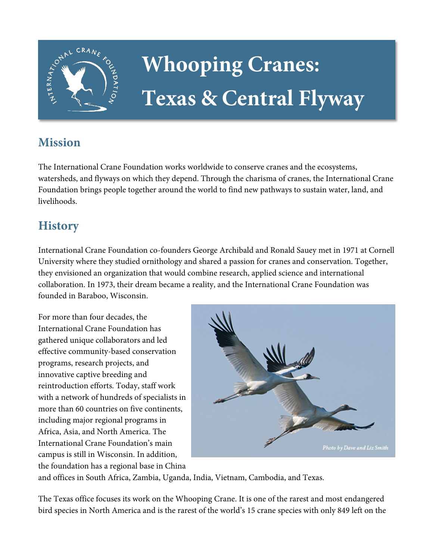

# **Whooping Cranes: Texas & Central Flyway**

## **Mission**

The International Crane Foundation works worldwide to conserve cranes and the ecosystems, watersheds, and flyways on which they depend. Through the charisma of cranes, the International Crane Foundation brings people together around the world to find new pathways to sustain water, land, and livelihoods.

## **History**

International Crane Foundation co-founders George Archibald and Ronald Sauey met in 1971 at Cornell University where they studied ornithology and shared a passion for cranes and conservation. Together, they envisioned an organization that would combine research, applied science and international collaboration. In 1973, their dream became a reality, and the International Crane Foundation was founded in Baraboo, Wisconsin.

For more than four decades, the International Crane Foundation has gathered unique collaborators and led effective community-based conservation programs, research projects, and innovative captive breeding and reintroduction efforts. Today, staff work with a network of hundreds of specialists in more than 60 countries on five continents, including major regional programs in Africa, Asia, and North America. The International Crane Foundation's main campus is still in Wisconsin. In addition, the foundation has a regional base in China



and offices in South Africa, Zambia, Uganda, India, Vietnam, Cambodia, and Texas.

The Texas office focuses its work on the Whooping Crane. It is one of the rarest and most endangered bird species in North America and is the rarest of the world's 15 crane species with only 849 left on the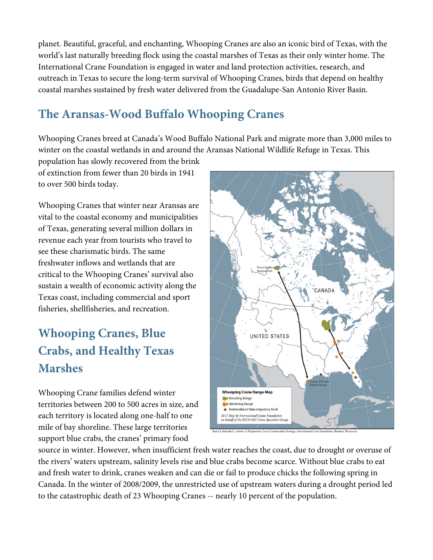planet. Beautiful, graceful, and enchanting, Whooping Cranes are also an iconic bird of Texas, with the world's last naturally breeding flock using the coastal marshes of Texas as their only winter home. The International Crane Foundation is engaged in water and land protection activities, research, and outreach in Texas to secure the long-term survival of Whooping Cranes, birds that depend on healthy coastal marshes sustained by fresh water delivered from the Guadalupe-San Antonio River Basin.

# **The Aransas-Wood Buffalo Whooping Cranes**

Whooping Cranes breed at Canada's Wood Buffalo National Park and migrate more than 3,000 miles to winter on the coastal wetlands in and around the Aransas National Wildlife Refuge in Texas. This

population has slowly recovered from the brink of extinction from fewer than 20 birds in 1941 to over 500 birds today.

Whooping Cranes that winter near Aransas are vital to the coastal economy and municipalities of Texas, generating several million dollars in revenue each year from tourists who travel to see these charismatic birds. The same freshwater inflows and wetlands that are critical to the Whooping Cranes' survival also sustain a wealth of economic activity along the Texas coast, including commercial and sport fisheries, shellfisheries, and recreation.

# **Whooping Cranes, Blue Crabs, and Healthy Texas Marshes**

Whooping Crane families defend winter territories between 200 to 500 acres in size, and each territory is located along one-half to one mile of bay shoreline. These large territories support blue crabs, the cranes' primary food



source in winter. However, when insufficient fresh water reaches the coast, due to drought or overuse of the rivers' waters upstream, salinity levels rise and blue crabs become scarce. Without blue crabs to eat and fresh water to drink, cranes weaken and can die or fail to produce chicks the following spring in Canada. In the winter of 2008/2009, the unrestricted use of upstream waters during a drought period led to the catastrophic death of 23 Whooping Cranes -- nearly 10 percent of the population.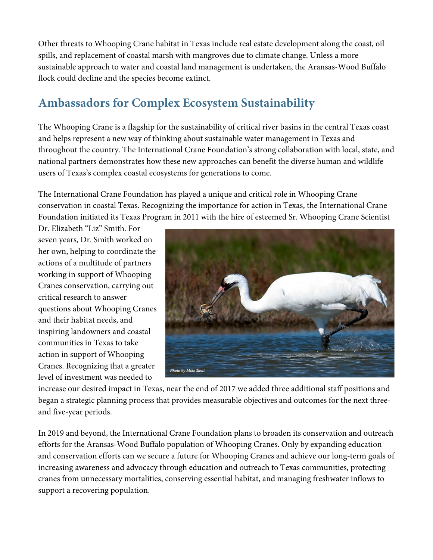Other threats to Whooping Crane habitat in Texas include real estate development along the coast, oil spills, and replacement of coastal marsh with mangroves due to climate change. Unless a more sustainable approach to water and coastal land management is undertaken, the Aransas-Wood Buffalo flock could decline and the species become extinct.

## **Ambassadors for Complex Ecosystem Sustainability**

The Whooping Crane is a flagship for the sustainability of critical river basins in the central Texas coast and helps represent a new way of thinking about sustainable water management in Texas and throughout the country. The International Crane Foundation's strong collaboration with local, state, and national partners demonstrates how these new approaches can benefit the diverse human and wildlife users of Texas's complex coastal ecosystems for generations to come.

The International Crane Foundation has played a unique and critical role in Whooping Crane conservation in coastal Texas. Recognizing the importance for action in Texas, the International Crane Foundation initiated its Texas Program in 2011 with the hire of esteemed Sr. Whooping Crane Scientist

Dr. Elizabeth "Liz" Smith. For seven years, Dr. Smith worked on her own, helping to coordinate the actions of a multitude of partners working in support of Whooping Cranes conservation, carrying out critical research to answer questions about Whooping Cranes and their habitat needs, and inspiring landowners and coastal communities in Texas to take action in support of Whooping Cranes. Recognizing that a greater level of investment was needed to



increase our desired impact in Texas, near the end of 2017 we added three additional staff positions and began a strategic planning process that provides measurable objectives and outcomes for the next threeand five-year periods.

In 2019 and beyond, the International Crane Foundation plans to broaden its conservation and outreach efforts for the Aransas-Wood Buffalo population of Whooping Cranes. Only by expanding education and conservation efforts can we secure a future for Whooping Cranes and achieve our long-term goals of increasing awareness and advocacy through education and outreach to Texas communities, protecting cranes from unnecessary mortalities, conserving essential habitat, and managing freshwater inflows to support a recovering population.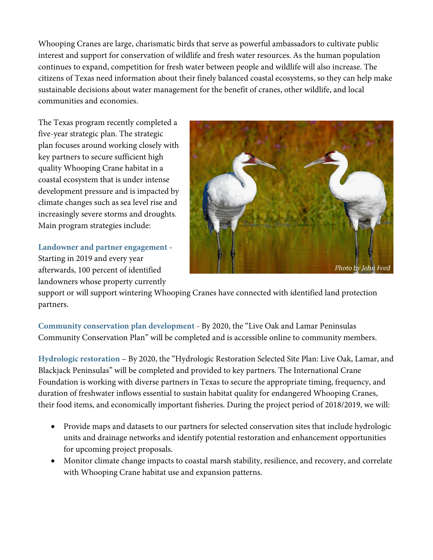Whooping Cranes are large, charismatic birds that serve as powerful ambassadors to cultivate public interest and support for conservation of wildlife and fresh water resources. As the human population continues to expand, competition for fresh water between people and wildlife will also increase. The citizens of Texas need information about their finely balanced coastal ecosystems, so they can help make sustainable decisions about water management for the benefit of cranes, other wildlife, and local communities and economies.

The Texas program recently completed a five-year strategic plan. The strategic plan focuses around working closely with key partners to secure sufficient high quality Whooping Crane habitat in a coastal ecosystem that is under intense development pressure and is impacted by climate changes such as sea level rise and increasingly severe storms and droughts. Main program strategies include:

**Landowner and partner engagement** - Starting in 2019 and every year afterwards, 100 percent of identified landowners whose property currently



support or will support wintering Whooping Cranes have connected with identified land protection partners.

**Community conservation plan development** - By 2020, the "Live Oak and Lamar Peninsulas Community Conservation Plan" will be completed and is accessible online to community members.

**Hydrologic restoration** – By 2020, the "Hydrologic Restoration Selected Site Plan: Live Oak, Lamar, and Blackjack Peninsulas" will be completed and provided to key partners. The International Crane Foundation is working with diverse partners in Texas to secure the appropriate timing, frequency, and duration of freshwater inflows essential to sustain habitat quality for endangered Whooping Cranes, their food items, and economically important fisheries. During the project period of 2018/2019, we will:

- Provide maps and datasets to our partners for selected conservation sites that include hydrologic units and drainage networks and identify potential restoration and enhancement opportunities for upcoming project proposals.
- Monitor climate change impacts to coastal marsh stability, resilience, and recovery, and correlate with Whooping Crane habitat use and expansion patterns.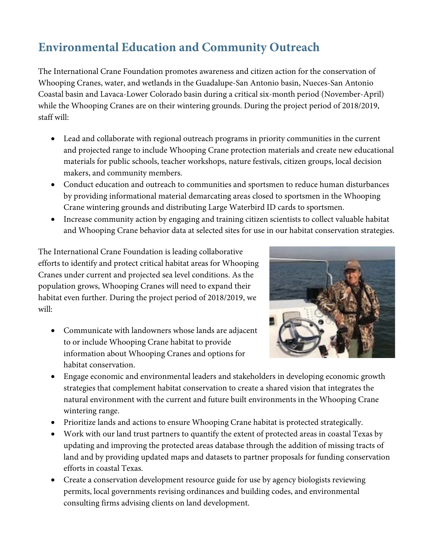# **Environmental Education and Community Outreach**

The International Crane Foundation promotes awareness and citizen action for the conservation of Whooping Cranes, water, and wetlands in the Guadalupe-San Antonio basin, Nueces-San Antonio Coastal basin and Lavaca-Lower Colorado basin during a critical six-month period (November-April) while the Whooping Cranes are on their wintering grounds. During the project period of 2018/2019, staff will:

- Lead and collaborate with regional outreach programs in priority communities in the current and projected range to include Whooping Crane protection materials and create new educational materials for public schools, teacher workshops, nature festivals, citizen groups, local decision makers, and community members.
- Conduct education and outreach to communities and sportsmen to reduce human disturbances by providing informational material demarcating areas closed to sportsmen in the Whooping Crane wintering grounds and distributing Large Waterbird ID cards to sportsmen.
- Increase community action by engaging and training citizen scientists to collect valuable habitat and Whooping Crane behavior data at selected sites for use in our habitat conservation strategies.

The International Crane Foundation is leading collaborative efforts to identify and protect critical habitat areas for Whooping Cranes under current and projected sea level conditions. As the population grows, Whooping Cranes will need to expand their habitat even further. During the project period of 2018/2019, we will:

• Communicate with landowners whose lands are adjacent to or include Whooping Crane habitat to provide information about Whooping Cranes and options for habitat conservation.



- Engage economic and environmental leaders and stakeholders in developing economic growth strategies that complement habitat conservation to create a shared vision that integrates the natural environment with the current and future built environments in the Whooping Crane wintering range.
- Prioritize lands and actions to ensure Whooping Crane habitat is protected strategically.
- Work with our land trust partners to quantify the extent of protected areas in coastal Texas by updating and improving the protected areas database through the addition of missing tracts of land and by providing updated maps and datasets to partner proposals for funding conservation efforts in coastal Texas.
- Create a conservation development resource guide for use by agency biologists reviewing permits, local governments revising ordinances and building codes, and environmental consulting firms advising clients on land development.